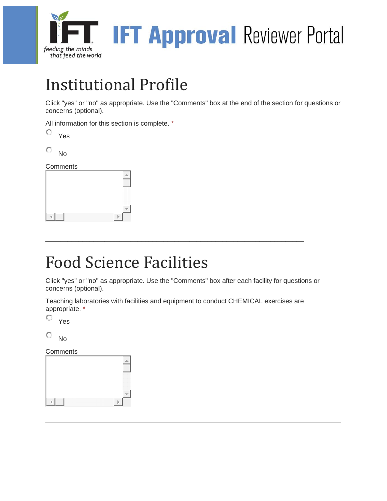

## Institutional Profile

Click "yes" or "no" as appropriate. Use the "Comments" box at the end of the section for questions or concerns (optional).

All information for this section is complete. \*

| ٧<br>ے |
|--------|
|        |

O No

**Comments** 

## Food Science Facilities

Click "yes" or "no" as appropriate. Use the "Comments" box after each facility for questions or concerns (optional).

Teaching laboratories with facilities and equipment to conduct CHEMICAL exercises are appropriate. \*

\_\_\_\_\_\_\_\_\_\_\_\_\_\_\_\_\_\_\_\_\_\_\_\_\_\_\_\_\_\_\_\_\_\_\_\_\_\_\_\_\_\_\_\_\_\_\_\_\_\_\_\_\_\_\_\_\_\_\_\_\_\_\_\_\_\_\_\_\_\_

О. Yes

О. No

**Comments**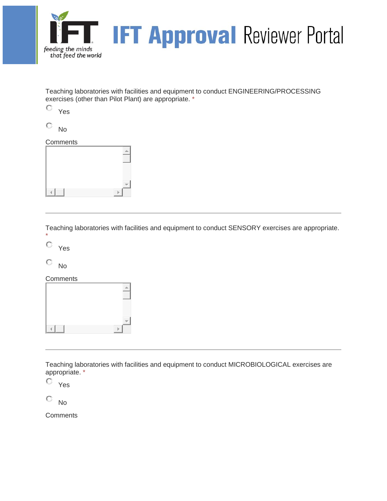

Teaching laboratories with facilities and equipment to conduct ENGINEERING/PROCESSING exercises (other than Pilot Plant) are appropriate. \*

О Yes

O No

#### **Comments**



Teaching laboratories with facilities and equipment to conduct SENSORY exercises are appropriate. \*

О Yes

O No

**Comments** 



Teaching laboratories with facilities and equipment to conduct MICROBIOLOGICAL exercises are appropriate. \*

O Yes

O No

**Comments**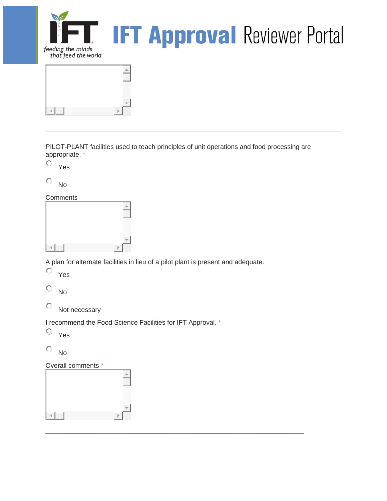

PILOT-PLANT facilities used to teach principles of unit operations and food processing are appropriate. \*

Yes

0. No

**Comments** 

A plan for alternate facilities in lieu of a pilot plant is present and adequate.

 $\Box$ 

Yes

O No

0. Not necessary

I recommend the Food Science Facilities for IFT Approval. \*

0 Yes

О No

Overall comments \*

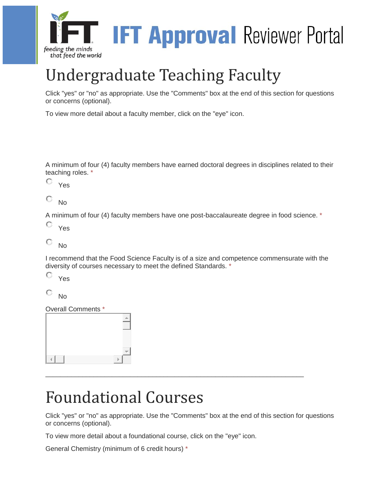

# Undergraduate Teaching Faculty

Click "yes" or "no" as appropriate. Use the "Comments" box at the end of this section for questions or concerns (optional).

To view more detail about a faculty member, click on the "eye" icon.

A minimum of four (4) faculty members have earned doctoral degrees in disciplines related to their teaching roles. \*

О. Yes

О No

A minimum of four (4) faculty members have one post-baccalaureate degree in food science. \*

O Yes

О No

I recommend that the Food Science Faculty is of a size and competence commensurate with the diversity of courses necessary to meet the defined Standards. \*

O Yes

О No

Overall Comments \*



### Foundational Courses

Click "yes" or "no" as appropriate. Use the "Comments" box at the end of this section for questions or concerns (optional).

\_\_\_\_\_\_\_\_\_\_\_\_\_\_\_\_\_\_\_\_\_\_\_\_\_\_\_\_\_\_\_\_\_\_\_\_\_\_\_\_\_\_\_\_\_\_\_\_\_\_\_\_\_\_\_\_\_\_\_\_\_\_\_\_\_\_\_\_\_\_

To view more detail about a foundational course, click on the "eye" icon.

General Chemistry (minimum of 6 credit hours) \*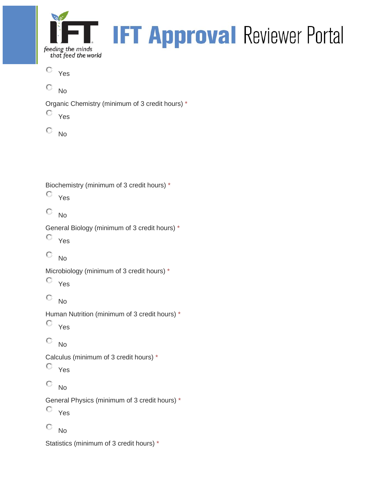

Yes

O No

Organic Chemistry (minimum of 3 credit hours) \*

Yes

 $\circ$  No

Biochemistry (minimum of 3 credit hours) \*

Yes

 $\circ$  No

General Biology (minimum of 3 credit hours) \*

```
Yes
```

```
\circ No
```
Microbiology (minimum of 3 credit hours) \*

Yes

 $\circ$  No

Human Nutrition (minimum of 3 credit hours) \*

Yes

0. No

Calculus (minimum of 3 credit hours) \*

Yes

 $\mathbf C$ No

General Physics (minimum of 3 credit hours) \*

Yes

 $\circ$  No

Statistics (minimum of 3 credit hours) \*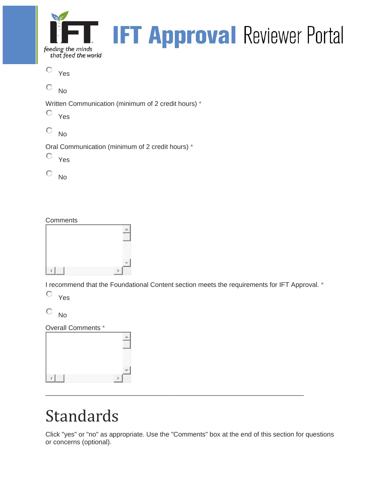

Yes

O No

Written Communication (minimum of 2 credit hours) \*

Yes

0 No

Oral Communication (minimum of 2 credit hours) \*

Yes

 $\circ$  No

### **Comments**

| ,,,,,,,,,,,,,,,,,,<br>,,,,,,,,,,,,,,,,,,,,,,<br>vonovo v |
|----------------------------------------------------------|

I recommend that the Foundational Content section meets the requirements for IFT Approval. \*

Yes

 $\circ$  No

Overall Comments \*

| --<br>w<br>-- | .<br>w<br>∾<br>- 2 |
|---------------|--------------------|

## Standards

Click "yes" or "no" as appropriate. Use the "Comments" box at the end of this section for questions or concerns (optional).

 $\Box$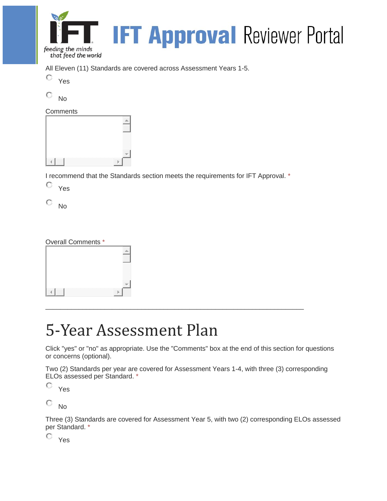

All Eleven (11) Standards are covered across Assessment Years 1-5.

0. Yes

о No

| Comments |  |  |
|----------|--|--|
|          |  |  |
|          |  |  |
|          |  |  |
|          |  |  |
|          |  |  |
|          |  |  |

I recommend that the Standards section meets the requirements for IFT Approval. \*

0. Yes

Ō No

### Overall Comments \*



### 5-Year Assessment Plan

Click "yes" or "no" as appropriate. Use the "Comments" box at the end of this section for questions or concerns (optional).

 $\Box$ 

Two (2) Standards per year are covered for Assessment Years 1-4, with three (3) corresponding ELOs assessed per Standard. \*

О Yes

О No

Three (3) Standards are covered for Assessment Year 5, with two (2) corresponding ELOs assessed per Standard. \*

Yes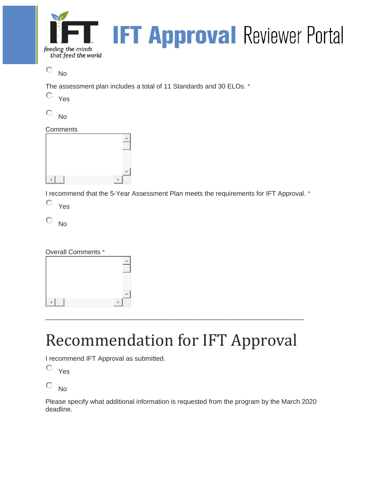

 $\circ$  No

The assessment plan includes a total of 11 Standards and 30 ELOs. \*

О. Yes

О No

### **Comments**

I recommend that the 5-Year Assessment Plan meets the requirements for IFT Approval. \*

Yes

0. No

### Overall Comments \*

| and the state of the |
|----------------------|

# Recommendation for IFT Approval

 $\Box$ 

I recommend IFT Approval as submitted.

О. Yes

О. No

Please specify what additional information is requested from the program by the March 2020 deadline.